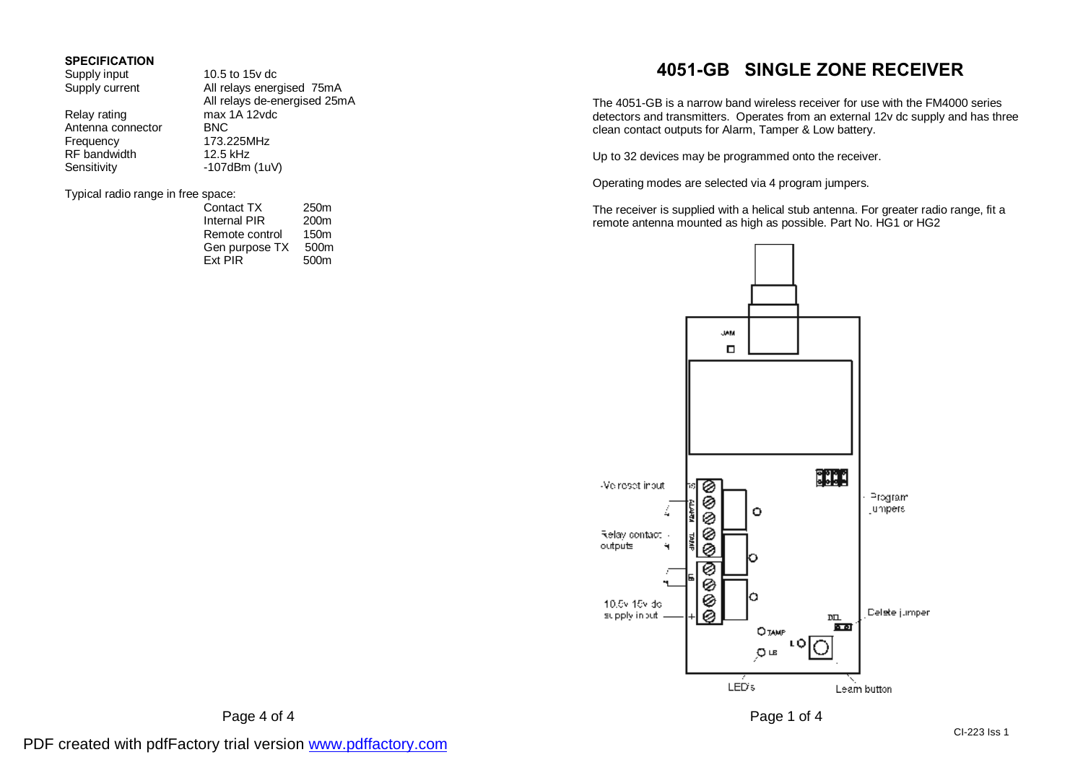#### **SPECIFICATION**

| Supply input                       | 10.5 to 15y dc               |      |  |
|------------------------------------|------------------------------|------|--|
| Supply current                     | All relays energised 75mA    |      |  |
|                                    | All relays de-energised 25mA |      |  |
| Relay rating                       | max 1A 12vdc                 |      |  |
| Antenna connector                  | <b>BNC</b>                   |      |  |
| Frequency                          | 173.225MHz                   |      |  |
| RF bandwidth                       | 12.5 kHz                     |      |  |
| Sensitivity                        | $-107$ dBm $(1uV)$           |      |  |
| Typical radio range in free space: |                              |      |  |
|                                    | Contact TX                   | 250m |  |

| <b>UUIKUU I</b> | <i><u><u> …</u></u></i> |
|-----------------|-------------------------|
| Internal PIR    | 200 <sub>m</sub>        |
| Remote control  | 150m                    |
| Gen purpose TX  | 500m                    |
| Ext PIR         | 500m                    |
|                 |                         |

# **4051-GB SINGLE ZONE RECEIVER**

The 4051-GB is a narrow band wireless receiver for use with the FM4000 series detectors and transmitters. Operates from an external 12v dc supply and has three clean contact outputs for Alarm, Tamper & Low battery.

Up to 32 devices may be programmed onto the receiver.

Operating modes are selected via 4 program jumpers.

The receiver is supplied with a helical stub antenna. For greater radio range, fit a remote antenna mounted as high as possible. Part No. HG1 or HG2



Page 4 of 4 Page 1 of 4

PDF created with pdfFactory trial version [www.pdffactory.com](http://www.pdffactory.com)